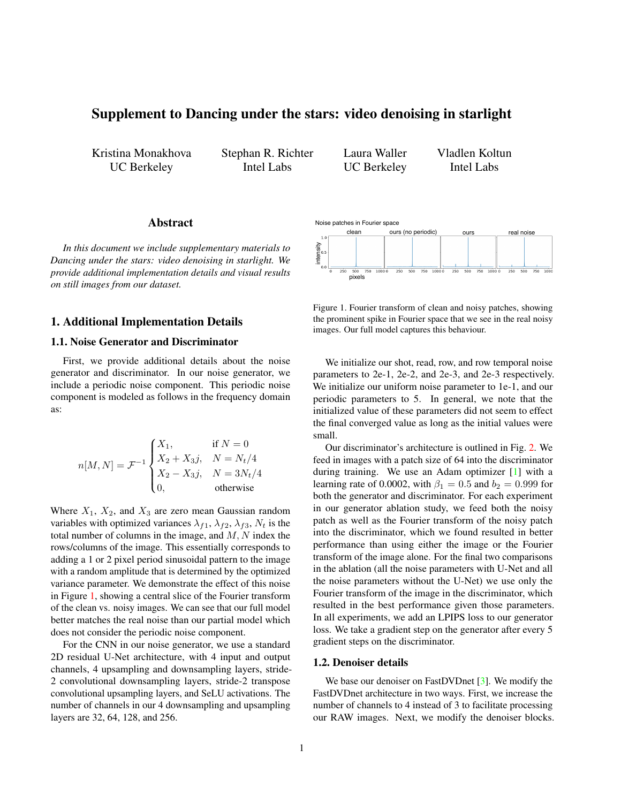# <span id="page-0-1"></span>Supplement to Dancing under the stars: video denoising in starlight

Kristina Monakhova UC Berkeley

Stephan R. Richter Intel Labs

Laura Waller UC Berkeley

Vladlen Koltun Intel Labs

# Abstract

*In this document we include supplementary materials to Dancing under the stars: video denoising in starlight. We provide additional implementation details and visual results on still images from our dataset.*

# 1. Additional Implementation Details

### 1.1. Noise Generator and Discriminator

First, we provide additional details about the noise generator and discriminator. In our noise generator, we include a periodic noise component. This periodic noise component is modeled as follows in the frequency domain as:

$$
n[M, N] = \mathcal{F}^{-1} \begin{cases} X_1, & \text{if } N = 0 \\ X_2 + X_3j, & N = N_t/4 \\ X_2 - X_3j, & N = 3N_t/4 \\ 0, & \text{otherwise} \end{cases}
$$

Where  $X_1$ ,  $X_2$ , and  $X_3$  are zero mean Gaussian random variables with optimized variances  $\lambda_{f1}$ ,  $\lambda_{f2}$ ,  $\lambda_{f3}$ ,  $N_t$  is the total number of columns in the image, and  $M, N$  index the rows/columns of the image. This essentially corresponds to adding a 1 or 2 pixel period sinusoidal pattern to the image with a random amplitude that is determined by the optimized variance parameter. We demonstrate the effect of this noise in Figure [1,](#page-0-0) showing a central slice of the Fourier transform of the clean vs. noisy images. We can see that our full model better matches the real noise than our partial model which does not consider the periodic noise component.

For the CNN in our noise generator, we use a standard 2D residual U-Net architecture, with 4 input and output channels, 4 upsampling and downsampling layers, stride-2 convolutional downsampling layers, stride-2 transpose convolutional upsampling layers, and SeLU activations. The number of channels in our 4 downsampling and upsampling layers are 32, 64, 128, and 256.



<span id="page-0-0"></span>Figure 1. Fourier transform of clean and noisy patches, showing the prominent spike in Fourier space that we see in the real noisy images. Our full model captures this behaviour.

We initialize our shot, read, row, and row temporal noise parameters to 2e-1, 2e-2, and 2e-3, and 2e-3 respectively. We initialize our uniform noise parameter to 1e-1, and our periodic parameters to 5. In general, we note that the initialized value of these parameters did not seem to effect the final converged value as long as the initial values were small.

Our discriminator's architecture is outlined in Fig. [2.](#page-1-0) We feed in images with a patch size of 64 into the discriminator during training. We use an Adam optimizer [\[1\]](#page-2-0) with a learning rate of 0.0002, with  $\beta_1 = 0.5$  and  $b_2 = 0.999$  for both the generator and discriminator. For each experiment in our generator ablation study, we feed both the noisy patch as well as the Fourier transform of the noisy patch into the discriminator, which we found resulted in better performance than using either the image or the Fourier transform of the image alone. For the final two comparisons in the ablation (all the noise parameters with U-Net and all the noise parameters without the U-Net) we use only the Fourier transform of the image in the discriminator, which resulted in the best performance given those parameters. In all experiments, we add an LPIPS loss to our generator loss. We take a gradient step on the generator after every 5 gradient steps on the discriminator.

#### 1.2. Denoiser details

We base our denoiser on FastDVDnet [\[3\]](#page-2-1). We modify the FastDVDnet architecture in two ways. First, we increase the number of channels to 4 instead of 3 to facilitate processing our RAW images. Next, we modify the denoiser blocks.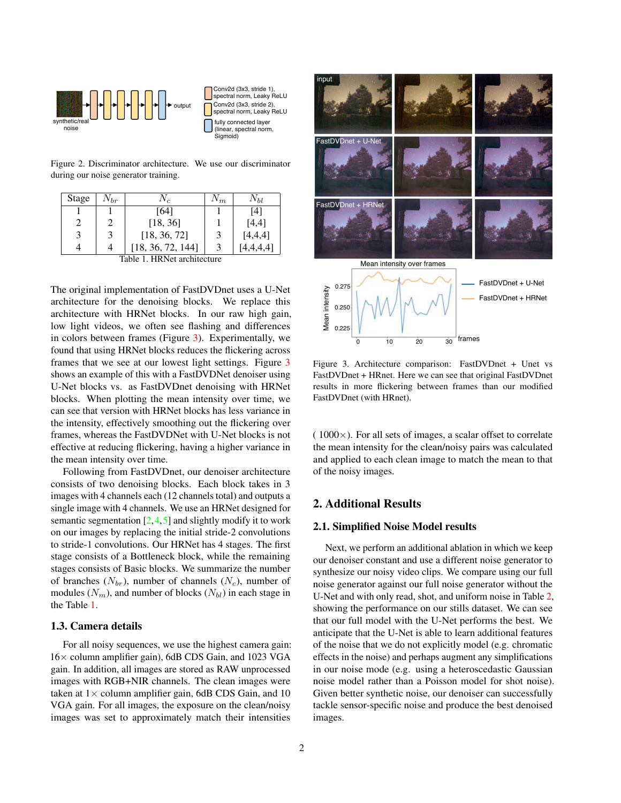<span id="page-1-3"></span>

Conv2d (3x3, stride 1), spectral norm, Leaky ReLU Conv2d (3x3, stride 2), ctral norm, Leaky ReLU fully connected layer (linear, spectral norm, Sigmoid)

<span id="page-1-0"></span>Figure 2. Discriminator architecture. We use our discriminator during our noise generator training.

| Stage                       | $N_{br}$ | $N_c$             | $\mathsf{V}_{m}$ | Νы      |  |
|-----------------------------|----------|-------------------|------------------|---------|--|
|                             |          | [64]              |                  | [4]     |  |
|                             |          | [18, 36]          |                  | [4,4]   |  |
| 3                           |          | [18, 36, 72]      | 3                | [4,4,4] |  |
|                             |          | [18, 36, 72, 144] | 3                | 4,4,4,4 |  |
| Table 1. HRNet architecture |          |                   |                  |         |  |

<span id="page-1-2"></span>The original implementation of FastDVDnet uses a U-Net architecture for the denoising blocks. We replace this architecture with HRNet blocks. In our raw high gain, low light videos, we often see flashing and differences in colors between frames (Figure [3\)](#page-1-1). Experimentally, we found that using HRNet blocks reduces the flickering across frames that we see at our lowest light settings. Figure [3](#page-1-1) shows an example of this with a FastDVDNet denoiser using U-Net blocks vs. as FastDVDnet denoising with HRNet blocks. When plotting the mean intensity over time, we can see that version with HRNet blocks has less variance in the intensity, effectively smoothing out the flickering over frames, whereas the FastDVDNet with U-Net blocks is not effective at reducing flickering, having a higher variance in the mean intensity over time.

Following from FastDVDnet, our denoiser architecture consists of two denoising blocks. Each block takes in 3 images with 4 channels each (12 channels total) and outputs a single image with 4 channels. We use an HRNet designed for semantic segmentation  $[2, 4, 5]$  $[2, 4, 5]$  $[2, 4, 5]$  $[2, 4, 5]$  $[2, 4, 5]$  and slightly modify it to work on our images by replacing the initial stride-2 convolutions to stride-1 convolutions. Our HRNet has 4 stages. The first stage consists of a Bottleneck block, while the remaining stages consists of Basic blocks. We summarize the number of branches  $(N_{br})$ , number of channels  $(N_c)$ , number of modules  $(N_m)$ , and number of blocks  $(N_{bl})$  in each stage in the Table [1.](#page-1-2)

# 1.3. Camera details

For all noisy sequences, we use the highest camera gain: 16× column amplifier gain), 6dB CDS Gain, and 1023 VGA gain. In addition, all images are stored as RAW unprocessed images with RGB+NIR channels. The clean images were taken at  $1 \times$  column amplifier gain, 6dB CDS Gain, and 10 VGA gain. For all images, the exposure on the clean/noisy images was set to approximately match their intensities



<span id="page-1-1"></span>Figure 3. Architecture comparison: FastDVDnet + Unet vs FastDVDnet + HRnet. Here we can see that original FastDVDnet results in more flickering between frames than our modified FastDVDnet (with HRnet).

 $(1000\times)$ . For all sets of images, a scalar offset to correlate the mean intensity for the clean/noisy pairs was calculated and applied to each clean image to match the mean to that of the noisy images.

# 2. Additional Results

### 2.1. Simplified Noise Model results

Next, we perform an additional ablation in which we keep our denoiser constant and use a different noise generator to synthesize our noisy video clips. We compare using our full noise generator against our full noise generator without the U-Net and with only read, shot, and uniform noise in Table [2,](#page-2-5) showing the performance on our stills dataset. We can see that our full model with the U-Net performs the best. We anticipate that the U-Net is able to learn additional features of the noise that we do not explicitly model (e.g. chromatic effects in the noise) and perhaps augment any simplifications in our noise mode (e.g. using a heteroscedastic Gaussian noise model rather than a Poisson model for shot noise). Given better synthetic noise, our denoiser can successfully tackle sensor-specific noise and produce the best denoised images.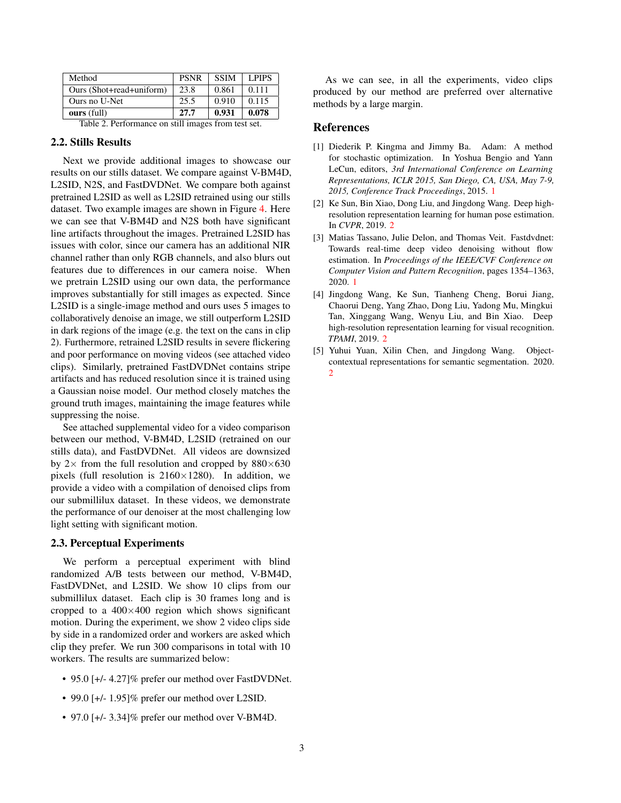| Method                   | <b>PSNR</b> | <b>SSIM</b> | L PIPS |
|--------------------------|-------------|-------------|--------|
| Ours (Shot+read+uniform) | 23.8        | 0.861       | 0.111  |
| Ours no U-Net            | 25.5        | 0.910       | 0.115  |
| ours (full)              | 27.7        | 0.931       | 0.078  |

<span id="page-2-5"></span>Table 2. Performance on still images from test set.

### 2.2. Stills Results

Next we provide additional images to showcase our results on our stills dataset. We compare against V-BM4D, L2SID, N2S, and FastDVDNet. We compare both against pretrained L2SID as well as L2SID retrained using our stills dataset. Two example images are shown in Figure [4.](#page-3-0) Here we can see that V-BM4D and N2S both have significant line artifacts throughout the images. Pretrained L2SID has issues with color, since our camera has an additional NIR channel rather than only RGB channels, and also blurs out features due to differences in our camera noise. When we pretrain L2SID using our own data, the performance improves substantially for still images as expected. Since L2SID is a single-image method and ours uses 5 images to collaboratively denoise an image, we still outperform L2SID in dark regions of the image (e.g. the text on the cans in clip 2). Furthermore, retrained L2SID results in severe flickering and poor performance on moving videos (see attached video clips). Similarly, pretrained FastDVDNet contains stripe artifacts and has reduced resolution since it is trained using a Gaussian noise model. Our method closely matches the ground truth images, maintaining the image features while suppressing the noise.

See attached supplemental video for a video comparison between our method, V-BM4D, L2SID (retrained on our stills data), and FastDVDNet. All videos are downsized by  $2 \times$  from the full resolution and cropped by  $880 \times 630$ pixels (full resolution is  $2160\times1280$ ). In addition, we provide a video with a compilation of denoised clips from our submillilux dataset. In these videos, we demonstrate the performance of our denoiser at the most challenging low light setting with significant motion.

### 2.3. Perceptual Experiments

We perform a perceptual experiment with blind randomized A/B tests between our method, V-BM4D, FastDVDNet, and L2SID. We show 10 clips from our submillilux dataset. Each clip is 30 frames long and is cropped to a  $400\times400$  region which shows significant motion. During the experiment, we show 2 video clips side by side in a randomized order and workers are asked which clip they prefer. We run 300 comparisons in total with 10 workers. The results are summarized below:

- 95.0 [+/- 4.27]% prefer our method over FastDVDNet.
- 99.0 [+/- 1.95]% prefer our method over L2SID.
- 97.0 [+/- 3.34]% prefer our method over V-BM4D.

As we can see, in all the experiments, video clips produced by our method are preferred over alternative methods by a large margin.

### References

- <span id="page-2-0"></span>[1] Diederik P. Kingma and Jimmy Ba. Adam: A method for stochastic optimization. In Yoshua Bengio and Yann LeCun, editors, *3rd International Conference on Learning Representations, ICLR 2015, San Diego, CA, USA, May 7-9, 2015, Conference Track Proceedings*, 2015. [1](#page-0-1)
- <span id="page-2-2"></span>[2] Ke Sun, Bin Xiao, Dong Liu, and Jingdong Wang. Deep highresolution representation learning for human pose estimation. In *CVPR*, 2019. [2](#page-1-3)
- <span id="page-2-1"></span>[3] Matias Tassano, Julie Delon, and Thomas Veit. Fastdvdnet: Towards real-time deep video denoising without flow estimation. In *Proceedings of the IEEE/CVF Conference on Computer Vision and Pattern Recognition*, pages 1354–1363, 2020. [1](#page-0-1)
- <span id="page-2-3"></span>[4] Jingdong Wang, Ke Sun, Tianheng Cheng, Borui Jiang, Chaorui Deng, Yang Zhao, Dong Liu, Yadong Mu, Mingkui Tan, Xinggang Wang, Wenyu Liu, and Bin Xiao. Deep high-resolution representation learning for visual recognition. *TPAMI*, 2019. [2](#page-1-3)
- <span id="page-2-4"></span>[5] Yuhui Yuan, Xilin Chen, and Jingdong Wang. Objectcontextual representations for semantic segmentation. 2020. [2](#page-1-3)